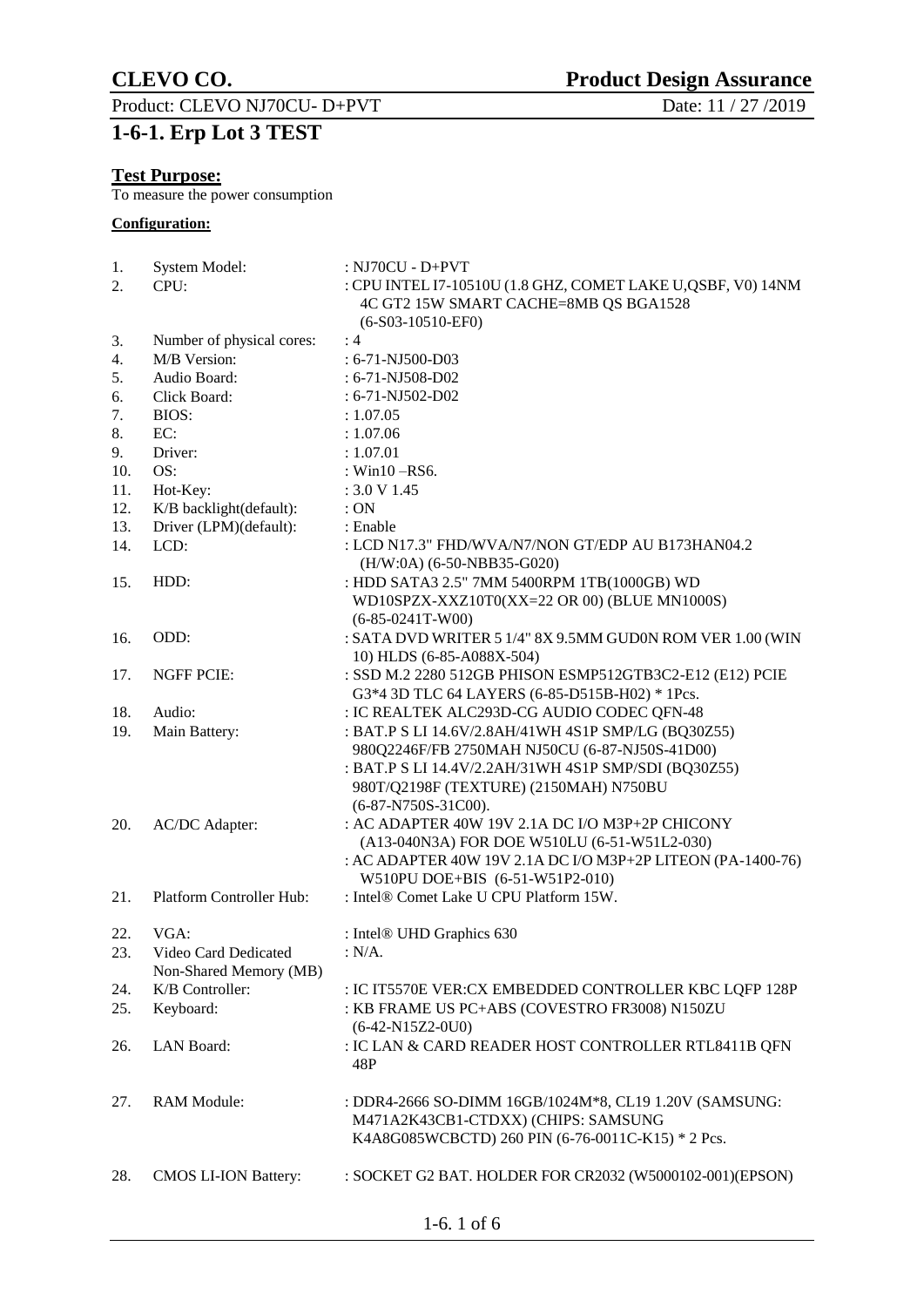Product: CLEVO NJ70CU- D+PVT

## **1-6-1. Erp Lot 3 TEST**

### **Test Purpose:**

To measure the power consumption

### **Configuration:**

| 1.  | System Model:               | : NJ70CU - D+PVT                                                                                      |
|-----|-----------------------------|-------------------------------------------------------------------------------------------------------|
| 2.  | CPU:                        | : CPU INTEL I7-10510U (1.8 GHZ, COMET LAKE U, QSBF, V0) 14NM<br>4C GT2 15W SMART CACHE=8MB QS BGA1528 |
|     |                             | $(6-S03-10510-EF0)$                                                                                   |
| 3.  | Number of physical cores:   | :4                                                                                                    |
| 4.  | M/B Version:                | : 6-71-NJ500-D03                                                                                      |
| 5.  | Audio Board:                | : 6-71-NJ508-D02                                                                                      |
| 6.  | Click Board:                | $: 6-71 - NJ502 - D02$                                                                                |
| 7.  | <b>BIOS:</b>                | : 1.07.05                                                                                             |
| 8.  | EC:                         | : 1.07.06                                                                                             |
| 9.  | Driver:                     | : 1.07.01                                                                                             |
| 10. | OS:                         | : Win $10 -$ RS6.                                                                                     |
| 11. | Hot-Key:                    | : 3.0 V 1.45                                                                                          |
| 12. | K/B backlight(default):     | :ON                                                                                                   |
| 13. | Driver (LPM)(default):      | : Enable                                                                                              |
| 14. | LCD:                        | : LCD N17.3" FHD/WVA/N7/NON GT/EDP AU B173HAN04.2<br>(H/W:0A) (6-50-NBB35-G020)                       |
| 15. | HDD:                        | : HDD SATA3 2.5" 7MM 5400RPM 1TB(1000GB) WD                                                           |
|     |                             | WD10SPZX-XXZ10T0(XX=22 OR 00) (BLUE MN1000S)                                                          |
|     |                             | $(6-85-0241T-W00)$                                                                                    |
| 16. | ODD:                        | : SATA DVD WRITER 5 1/4" 8X 9.5MM GUD0N ROM VER 1.00 (WIN                                             |
|     |                             | 10) HLDS (6-85-A088X-504)                                                                             |
| 17. | <b>NGFF PCIE:</b>           | : SSD M.2 2280 512GB PHISON ESMP512GTB3C2-E12 (E12) PCIE                                              |
|     |                             | G3*4 3D TLC 64 LAYERS (6-85-D515B-H02) * 1Pcs.                                                        |
| 18. | Audio:                      | : IC REALTEK ALC293D-CG AUDIO CODEC QFN-48                                                            |
| 19. | Main Battery:               | : BAT.P S LI 14.6V/2.8AH/41WH 4S1P SMP/LG (BQ30Z55)                                                   |
|     |                             | 980Q2246F/FB 2750MAH NJ50CU (6-87-NJ50S-41D00)                                                        |
|     |                             | : BAT.P S LI 14.4V/2.2AH/31WH 4S1P SMP/SDI (BQ30Z55)                                                  |
|     |                             | 980T/Q2198F (TEXTURE) (2150MAH) N750BU                                                                |
|     |                             | (6-87-N750S-31C00).                                                                                   |
| 20. | <b>AC/DC</b> Adapter:       | : AC ADAPTER 40W 19V 2.1A DC I/O M3P+2P CHICONY                                                       |
|     |                             | (A13-040N3A) FOR DOE W510LU (6-51-W51L2-030)                                                          |
|     |                             | : AC ADAPTER 40W 19V 2.1A DC I/O M3P+2P LITEON (PA-1400-76)                                           |
|     |                             | W510PU DOE+BIS (6-51-W51P2-010)                                                                       |
| 21. | Platform Controller Hub:    | : Intel® Comet Lake U CPU Platform 15W.                                                               |
|     |                             |                                                                                                       |
| 22. | VGA:                        | : Intel® UHD Graphics 630                                                                             |
| 23. | Video Card Dedicated        | $: N/A$ .                                                                                             |
|     | Non-Shared Memory (MB)      |                                                                                                       |
| 24. | K/B Controller:             | : IC IT5570E VER: CX EMBEDDED CONTROLLER KBC LQFP 128P                                                |
| 25. | Keyboard:                   | : KB FRAME US PC+ABS (COVESTRO FR3008) N150ZU                                                         |
|     |                             | $(6-42-N15Z2-0U0)$                                                                                    |
| 26. | LAN Board:                  | : IC LAN & CARD READER HOST CONTROLLER RTL8411B QFN<br>48P                                            |
|     |                             |                                                                                                       |
| 27. | <b>RAM Module:</b>          | : DDR4-2666 SO-DIMM 16GB/1024M*8, CL19 1.20V (SAMSUNG:                                                |
|     |                             | M471A2K43CB1-CTDXX) (CHIPS: SAMSUNG                                                                   |
|     |                             | K4A8G085WCBCTD) 260 PIN (6-76-0011C-K15) * 2 Pcs.                                                     |
| 28. | <b>CMOS LI-ION Battery:</b> | : SOCKET G2 BAT. HOLDER FOR CR2032 (W5000102-001)(EPSON)                                              |

1-6. 1 of 6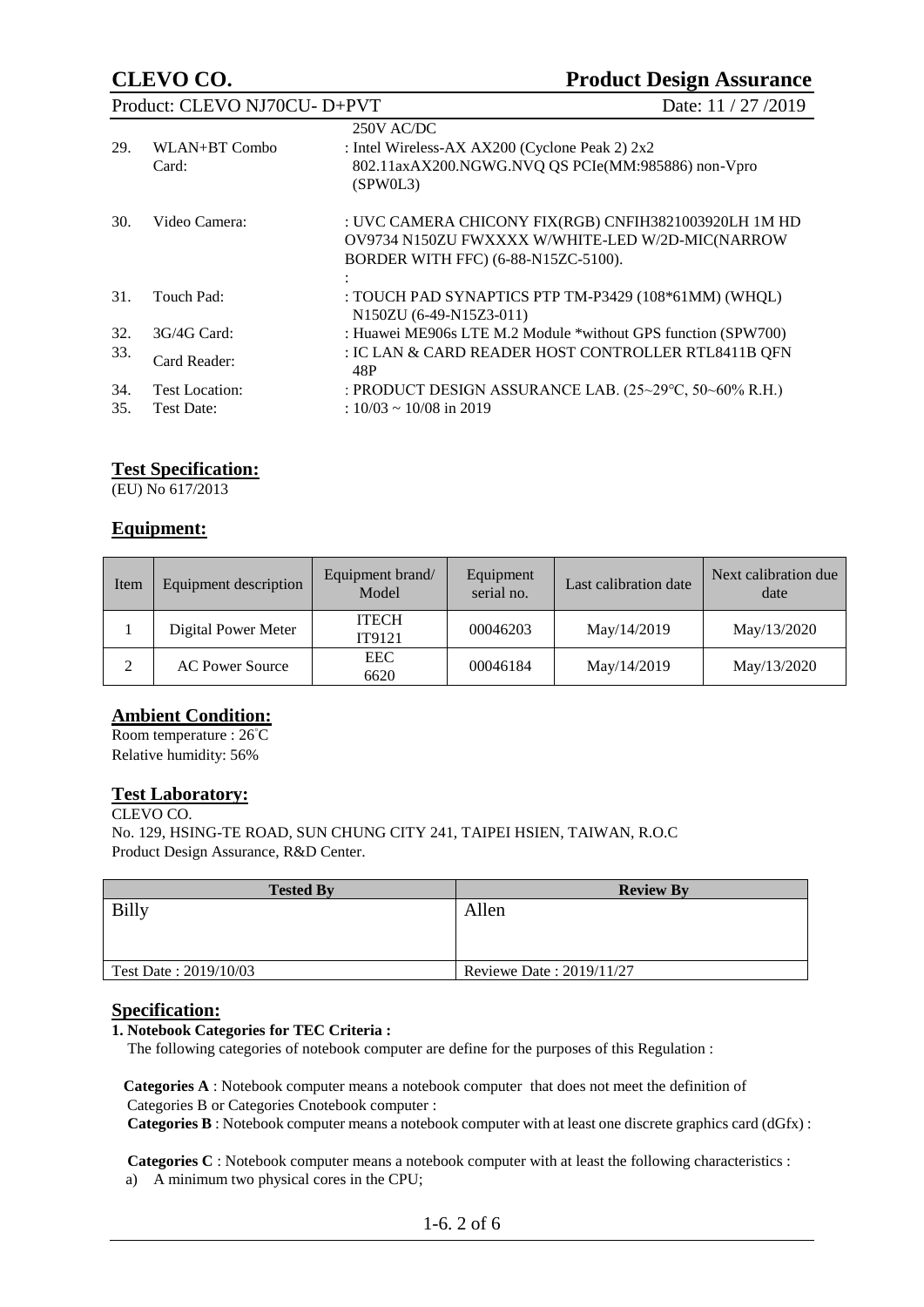| Product: CLEVO NJ70CU- D+PVT                             |                        |                                                                                                                                                  | Date: 11 / 27 / 2019 |
|----------------------------------------------------------|------------------------|--------------------------------------------------------------------------------------------------------------------------------------------------|----------------------|
| 29.                                                      | WLAN+BT Combo<br>Card: | 250V AC/DC<br>: Intel Wireless-AX AX200 (Cyclone Peak 2) 2x2<br>802.11axAX200.NGWG.NVQ QS PCIe(MM:985886) non-Vpro<br>(SPW0L3)                   |                      |
| 30.                                                      | Video Camera:          | : UVC CAMERA CHICONY FIX(RGB) CNFIH3821003920LH 1M HD<br>OV9734 N150ZU FWXXXX W/WHITE-LED W/2D-MIC(NARROW<br>BORDER WITH FFC) (6-88-N15ZC-5100). |                      |
| 31.                                                      | Touch Pad:             | : TOUCH PAD SYNAPTICS PTP TM-P3429 (108*61MM) (WHQL)<br>N150ZU (6-49-N15Z3-011)                                                                  |                      |
| 32.                                                      | $3G/4G$ Card:          | : Huawei ME906s LTE M.2 Module *without GPS function (SPW700)                                                                                    |                      |
| 33.                                                      | Card Reader:           | : IC LAN & CARD READER HOST CONTROLLER RTL8411B QFN<br>48P                                                                                       |                      |
| 34.                                                      | Test Location:         | : PRODUCT DESIGN ASSURANCE LAB. (25~29°C, 50~60% R.H.)                                                                                           |                      |
| $: 10/03 \sim 10/08$ in 2019<br><b>Test Date:</b><br>35. |                        |                                                                                                                                                  |                      |

### **Test Specification:**

(EU) No 617/2013

### **Equipment:**

| Item | Equipment description  | Equipment brand/<br>Model | Equipment<br>serial no. | Last calibration date | Next calibration due<br>date |
|------|------------------------|---------------------------|-------------------------|-----------------------|------------------------------|
|      | Digital Power Meter    | <b>ITECH</b><br>IT9121    | 00046203                | May/14/2019           | May/13/2020                  |
| ↑    | <b>AC Power Source</b> | EEC<br>6620               | 00046184                | May/14/2019           | May/13/2020                  |

### **Ambient Condition:**

Room temperature : 26°C Relative humidity: 56%

### **Test Laboratory:**

CLEVO CO. No. 129, HSING-TE ROAD, SUN CHUNG CITY 241, TAIPEI HSIEN, TAIWAN, R.O.C Product Design Assurance, R&D Center.

| <b>Tested By</b>      | <b>Review By</b>         |
|-----------------------|--------------------------|
| <b>Billy</b>          | Allen                    |
|                       |                          |
|                       |                          |
| Test Date: 2019/10/03 | Reviewe Date: 2019/11/27 |

#### **Specification:**

#### **1. Notebook Categories for TEC Criteria :**

The following categories of notebook computer are define for the purposes of this Regulation :

 **Categories A** : Notebook computer means a notebook computer that does not meet the definition of Categories B or Categories Cnotebook computer :

**Categories B** : Notebook computer means a notebook computer with at least one discrete graphics card (dGfx) :

 **Categories C** : Notebook computer means a notebook computer with at least the following characteristics : a) A minimum two physical cores in the CPU;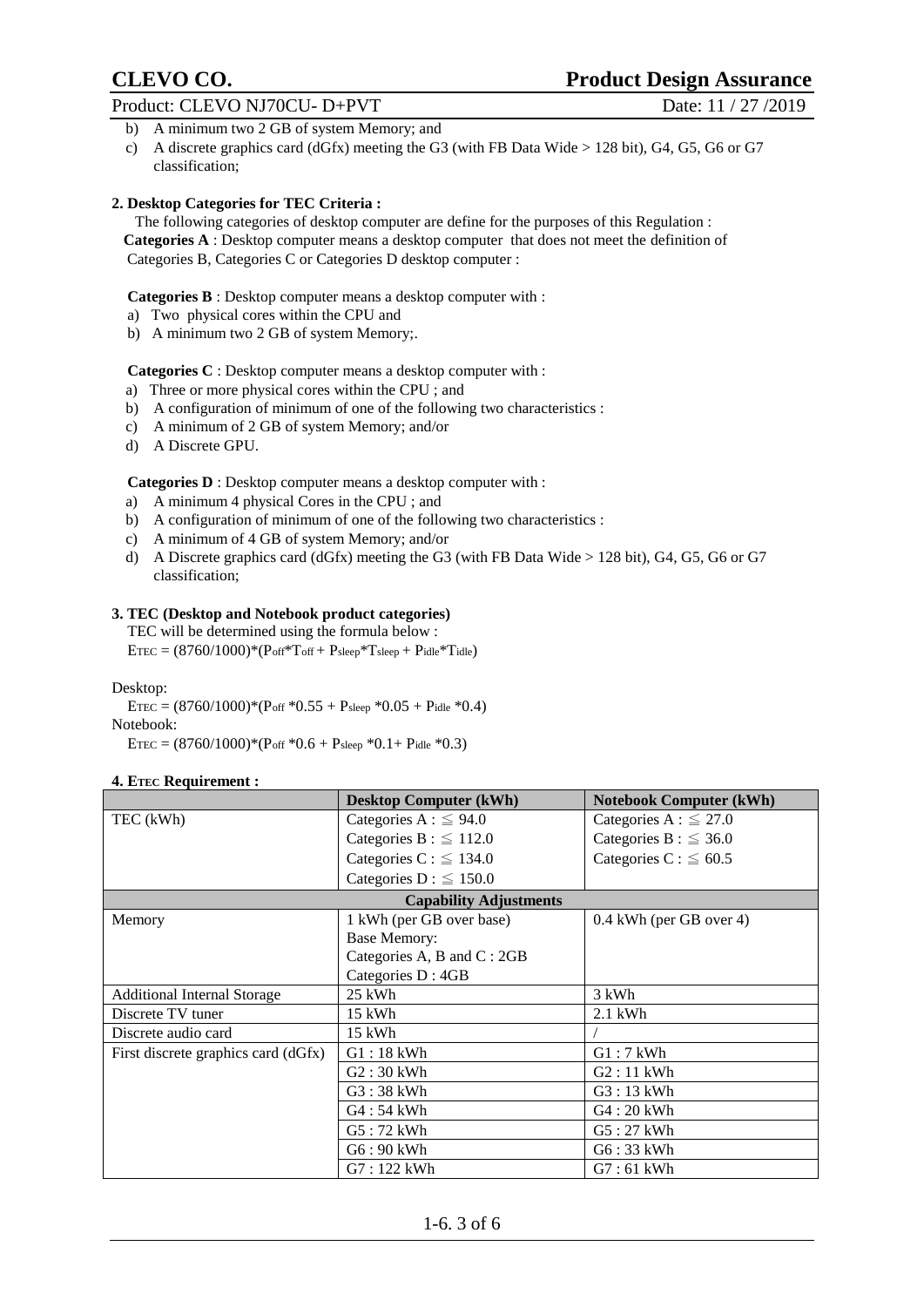- b) A minimum two 2 GB of system Memory; and
- c) A discrete graphics card (dGfx) meeting the G3 (with FB Data Wide > 128 bit), G4, G5, G6 or G7 classification;

#### **2. Desktop Categories for TEC Criteria :**

 The following categories of desktop computer are define for the purposes of this Regulation : **Categories A** : Desktop computer means a desktop computer that does not meet the definition of Categories B, Categories C or Categories D desktop computer :

**Categories B** : Desktop computer means a desktop computer with :

- a) Two physical cores within the CPU and
- b) A minimum two 2 GB of system Memory;.

**Categories C** : Desktop computer means a desktop computer with :

- a) Three or more physical cores within the CPU ; and
- b) A configuration of minimum of one of the following two characteristics :
- c) A minimum of 2 GB of system Memory; and/or
- d) A Discrete GPU.

 **Categories D** : Desktop computer means a desktop computer with :

- a) A minimum 4 physical Cores in the CPU ; and
- b) A configuration of minimum of one of the following two characteristics :
- c) A minimum of 4 GB of system Memory; and/or
- d) A Discrete graphics card (dGfx) meeting the G3 (with FB Data Wide > 128 bit), G4, G5, G6 or G7 classification;

#### **3. TEC (Desktop and Notebook product categories)**

 TEC will be determined using the formula below :  $ETEC = (8760/1000) * (Poff * Toff + Psleep * Tsleep + Pidle * Tidle)$ 

Desktop:

 $ETEC = (8760/1000) * (P_{off} * 0.55 + P_{sleep} * 0.05 + P_{idle} * 0.4)$ 

Notebook:

 $ETEC = (8760/1000) * (Post * 0.6 + P<sub>sleep</sub> * 0.1 + P<sub>idle</sub> * 0.3)$ 

#### **4. ETEC Requirement :**

|                                     | <b>Desktop Computer (kWh)</b> | <b>Notebook Computer (kWh)</b> |
|-------------------------------------|-------------------------------|--------------------------------|
| TEC (kWh)                           | Categories A : $\leq$ 94.0    | Categories A : $\leq$ 27.0     |
|                                     | Categories B : $\leq$ 112.0   | Categories B : $\leq$ 36.0     |
|                                     | Categories C : $\leq$ 134.0   | Categories C : $\leq 60.5$     |
|                                     | Categories D : $\leq$ 150.0   |                                |
|                                     | <b>Capability Adjustments</b> |                                |
| Memory                              | 1 kWh (per GB over base)      | 0.4 kWh (per GB over 4)        |
|                                     | <b>Base Memory:</b>           |                                |
|                                     | Categories A, B and C: 2GB    |                                |
|                                     | Categories D: 4GB             |                                |
| <b>Additional Internal Storage</b>  | 25 kWh                        | 3 kWh                          |
| Discrete TV tuner                   | 15 kWh                        | $2.1$ kWh                      |
| Discrete audio card                 | 15 kWh                        |                                |
| First discrete graphics card (dGfx) | $G1:18$ kWh                   | $G1:7$ kWh                     |
|                                     | $G2:30$ kWh                   | $G2:11$ kWh                    |
|                                     | $G3:38$ kWh                   | $G3:13$ kWh                    |
|                                     | G4:54 kWh                     | $G4:20$ kWh                    |
|                                     | G5:72 kWh                     | G5:27 kWh                      |
|                                     | G6:90 kWh                     | $G6:33$ kWh                    |
|                                     | $G7:122$ kWh                  | $G7:61$ kWh                    |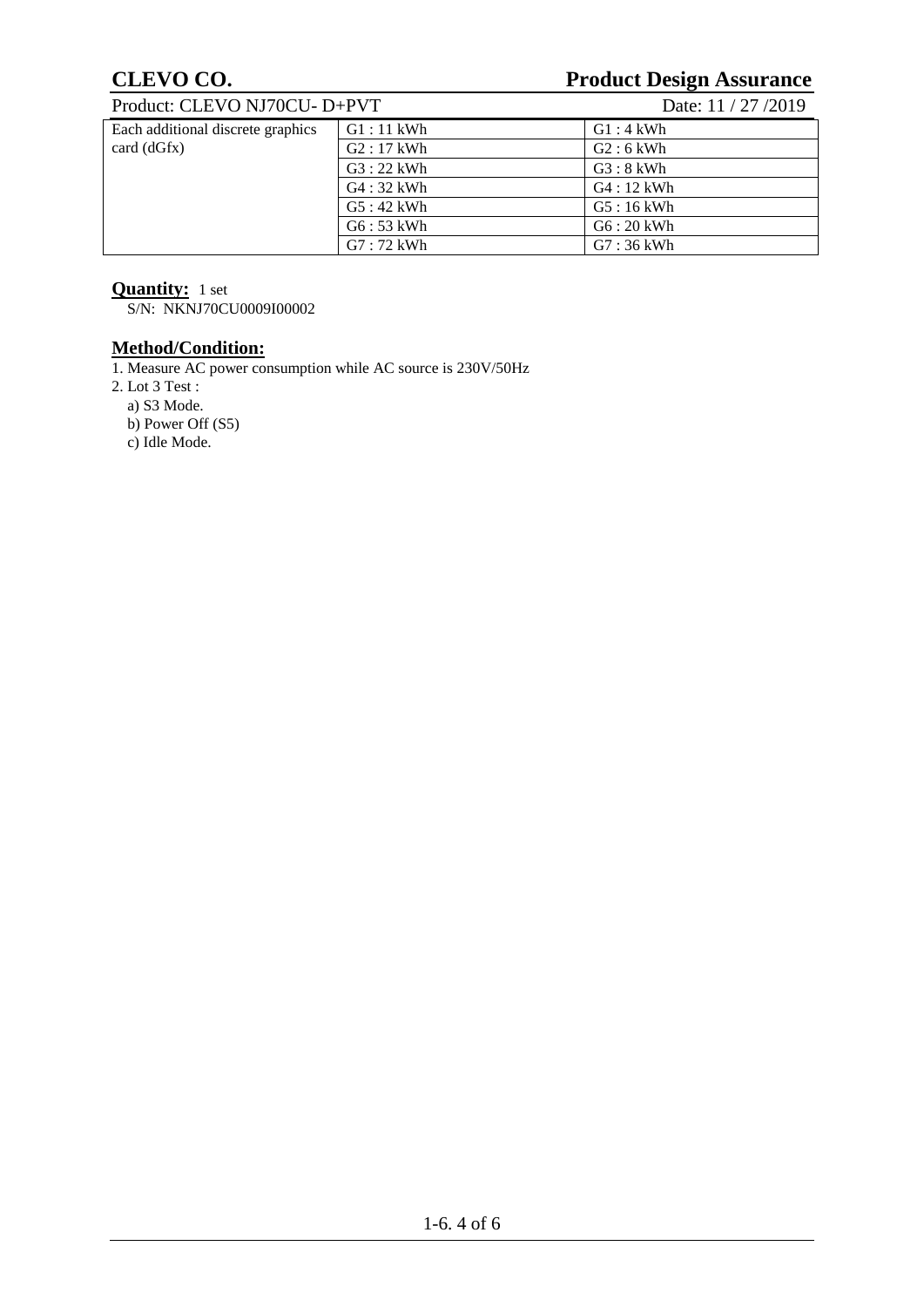# **CLEVO CO.**<br>Product: CLEVO NI70CU- D+PVT Date: 11/27/2019

| Date: 11 / 27 / 2019<br>Product: CLEVO NJ70CU- D+PVT |             |             |  |  |
|------------------------------------------------------|-------------|-------------|--|--|
| Each additional discrete graphics                    | $G1:11$ kWh | $G1:4$ kWh  |  |  |
| card (dGfx)                                          | $G2:17$ kWh | $G2:6$ kWh  |  |  |
|                                                      | $G3:22$ kWh | $G3:8$ kWh  |  |  |
|                                                      | $G4:32$ kWh | $G4:12$ kWh |  |  |
|                                                      | $G5:42$ kWh | $G5:16$ kWh |  |  |
|                                                      | $G6:53$ kWh | $G6:20$ kWh |  |  |
|                                                      | $G7:72$ kWh | $G7:36$ kWh |  |  |

### **Quantity:** 1 set

S/N: NKNJ70CU0009I00002

### **Method/Condition:**

1. Measure AC power consumption while AC source is 230V/50Hz

2. Lot 3 Test :

a) S3 Mode.

b) Power Off (S5)

c) Idle Mode.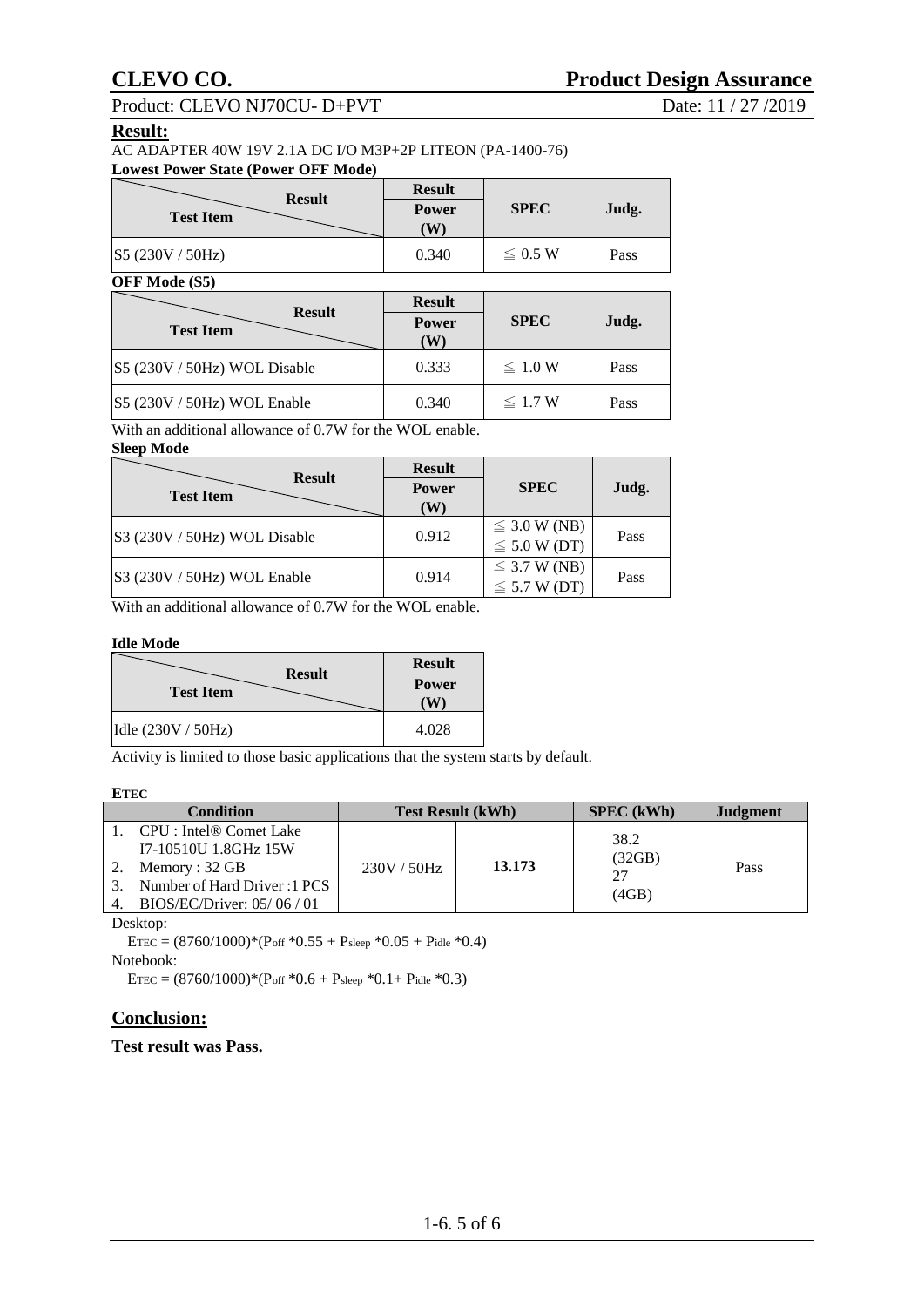Product: CLEVO NJ70CU- D+PVT Date: 11 / 27 /2019

#### **Result:**

#### **Lowest Power State (Power OFF Mode)**

| <b>Result</b>    | <b>Result</b>     |              |       |
|------------------|-------------------|--------------|-------|
| <b>Test Item</b> | <b>Power</b><br>W | <b>SPEC</b>  | Judg. |
| S5 (230V / 50Hz) | 0.340             | $\leq 0.5$ W | Pass  |

#### **OFF Mode (S5)**

| <b>Result</b><br><b>Test Item</b> | <b>Result</b><br><b>Power</b><br>W | <b>SPEC</b>  | Judg. |
|-----------------------------------|------------------------------------|--------------|-------|
| S5 (230V / 50Hz) WOL Disable      | 0.333                              | $\leq 1.0 W$ | Pass  |
| $ S5 (230V / 50Hz) WOL$ Enable    | 0.340                              | $\leq 1.7$ W | Pass  |

With an additional allowance of 0.7W for the WOL enable.

#### **Sleep Mode**

| <b>Result</b>                | <b>Result</b> |                                        |       |
|------------------------------|---------------|----------------------------------------|-------|
| <b>Test Item</b>             | Power<br>(W)  | <b>SPEC</b>                            | Judg. |
| S3 (230V / 50Hz) WOL Disable | 0.912         | $\leq$ 3.0 W (NB)<br>$\leq 5.0 W$ (DT) | Pass  |
| S3 (230V / 50Hz) WOL Enable  | 0.914         | $\leq$ 3.7 W (NB)<br>$\leq$ 5.7 W (DT) | Pass  |

With an additional allowance of 0.7W for the WOL enable.

#### **Idle Mode**

| <b>Result</b>      | <b>Result</b> |  |
|--------------------|---------------|--|
| <b>Test Item</b>   | <b>Power</b>  |  |
| Idle (230V / 50Hz) | 4.028         |  |

Activity is limited to those basic applications that the system starts by default.

#### **ETEC**

| <b>Condition</b> |                                     | <b>Test Result (kWh)</b> |        | SPEC (kWh) | Judgment |
|------------------|-------------------------------------|--------------------------|--------|------------|----------|
|                  | CPU : Intel <sup>®</sup> Comet Lake |                          |        | 38.2       |          |
|                  | I7-10510U 1.8GHz 15W                |                          |        | (32GB)     |          |
|                  | Memory : $32$ GB                    | 230V / 50Hz              | 13.173 | 27         | Pass     |
| 3.               | Number of Hard Driver : 1 PCS       |                          |        |            |          |
|                  | BIOS/EC/Driver: $05/06/01$          |                          |        | (4GB)      |          |

Desktop:

ETEC =  $(8760/1000)$ <sup>\*</sup>(Poff <sup>\*0.55</sup> + Psleep <sup>\*0.05</sup> + Pidle <sup>\*0.4</sup>) Notebook:

ETEC =  $(8760/1000)$ <sup>\*</sup> $($ Poff <sup>\*</sup>0.6 + Psleep <sup>\*</sup>0.1+ Pidle <sup>\*</sup>0.3)

### **Conclusion:**

### **Test result was Pass.**